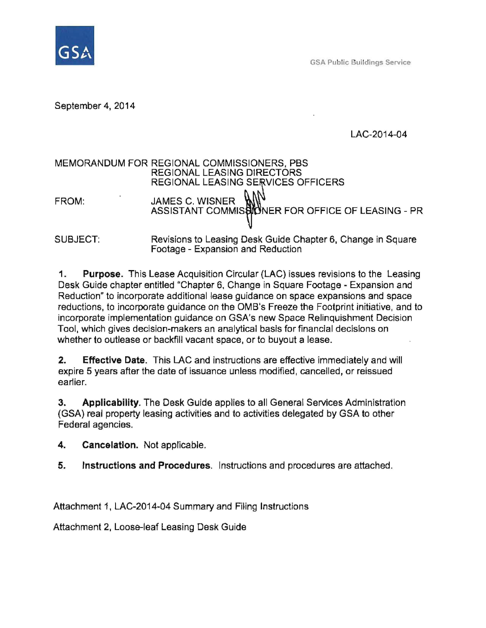

GSA Public Buildings Service

September 4, 2014

LAC-2014-04

# MEMORANDUM FOR REGIONAL COMMISSIONERS, PBS REGIONAL LEASING DIRECTORS REGIONAL LEASING SERVICES OFFICERS FROM: JAMES C. WISNER ASSISTANT COMMISSIONER FOR OFFICE OF LEASING - PR SUBJECT: Revisions to Leasing Desk Guide Chapter 6, Change in Square Footage - Expansion and Reduction

1. Purpose. This Lease Acquisition Circular (LAC) issues revisions to the Leasing Desk Guide chapter entitled "Chapter 6, Change in Square Footage - Expansion and Reduction" to incorporate additional lease guidance on space expansions and space reductions, to incorporate guidance on the OMB's Freeze the Footprint initiative, and to incorporate implementation guidance on GSA's new Space Relinquishment Decision Tool, which gives decision-makers an analytical basis for financial decisions on whether to outlease or backfill vacant space, or to buyout a lease.

2. Effective Date. This LAC and instructions are effective immediately and will expire 5 years after the date of issuance unless modified, cancelled, or reissued earlier.

3. Applicability. The Desk Guide applies to all General Services Administration (GSA) real property leasing activities and to activities delegated by GSA to other Federal agencies.

4. Cancelation. Not applicable.

5. Instructions and Procedures. Instructions and procedures are attached.

Attachment 1, LAC-2014-04 Summary and Filing Instructions

Attachment 2, Loose-leaf Leasing Desk Guide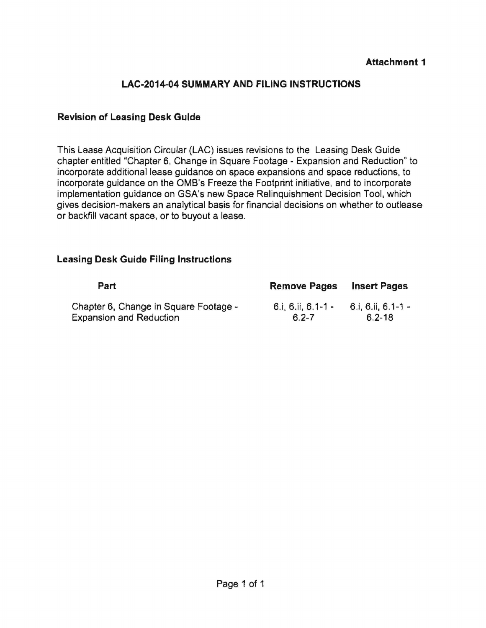### **LAC-2014-04 SUMMARY AND FILING INSTRUCTIONS**

#### **Revision of Leasing Desk Guide**

This Lease Acquisition Circular (LAC) issues revisions to the Leasing Desk Guide chapter entitled "Chapter 6, Change in Square Footage - Expansion and Reduction" to incorporate additional lease guidance on space expansions and space reductions, to incorporate guidance on the OMS's Freeze the Footprint initiative, and to incorporate implementation guidance on GSA's new Space Relinquishment Decision Tool, which gives decision-makers an analytical basis for financial decisions on whether to outlease or backfill vacant space, or to buyout a lease.

#### **Leasing Desk Guide Filing Instructions**

| Part                                  | <b>Remove Pages</b> | <b>Insert Pages</b> |
|---------------------------------------|---------------------|---------------------|
| Chapter 6, Change in Square Footage - | 6.i, 6.ii, 6.1-1 -  | 6.i, 6.ii, 6.1-1 -  |
| <b>Expansion and Reduction</b>        | $6.2 - 7$           | $6.2 - 18$          |